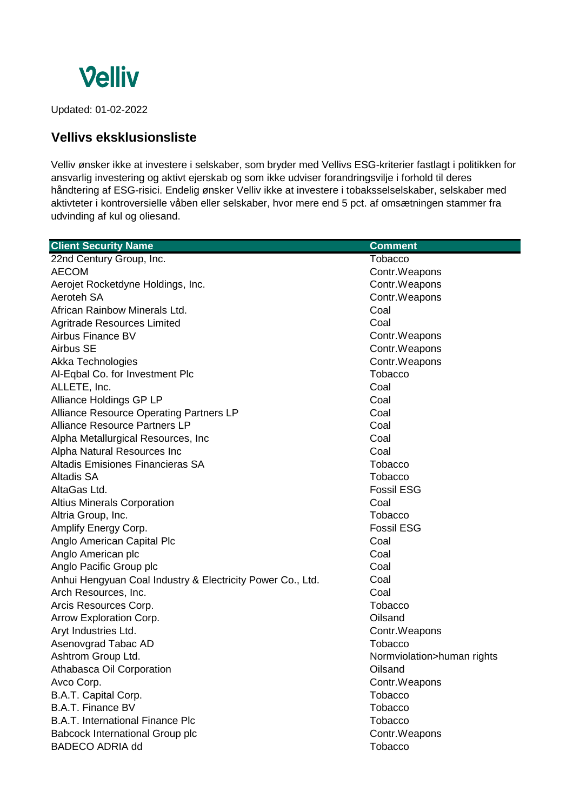

Updated: 01-02-2022

## **Vellivs eksklusionsliste**

Velliv ønsker ikke at investere i selskaber, som bryder med Vellivs ESG-kriterier fastlagt i politikken for ansvarlig investering og aktivt ejerskab og som ikke udviser forandringsvilje i forhold til deres håndtering af ESG-risici. Endelig ønsker Velliv ikke at investere i tobaksselselskaber, selskaber med aktivteter i kontroversielle våben eller selskaber, hvor mere end 5 pct. af omsætningen stammer fra udvinding af kul og oliesand.

| <b>Client Security Name</b>                                | <b>Comment</b>             |
|------------------------------------------------------------|----------------------------|
| 22nd Century Group, Inc.                                   | <b>Tobacco</b>             |
| <b>AECOM</b>                                               | Contr. Weapons             |
| Aerojet Rocketdyne Holdings, Inc.                          | Contr. Weapons             |
| Aeroteh SA                                                 | Contr.Weapons              |
| African Rainbow Minerals Ltd.                              | Coal                       |
| <b>Agritrade Resources Limited</b>                         | Coal                       |
| Airbus Finance BV                                          | Contr.Weapons              |
| Airbus SE                                                  | Contr. Weapons             |
| Akka Technologies                                          | Contr. Weapons             |
| Al-Eqbal Co. for Investment Plc                            | <b>Tobacco</b>             |
| ALLETE, Inc.                                               | Coal                       |
| Alliance Holdings GP LP                                    | Coal                       |
| Alliance Resource Operating Partners LP                    | Coal                       |
| Alliance Resource Partners LP                              | Coal                       |
| Alpha Metallurgical Resources, Inc.                        | Coal                       |
| Alpha Natural Resources Inc                                | Coal                       |
| Altadis Emisiones Financieras SA                           | <b>Tobacco</b>             |
| <b>Altadis SA</b>                                          | <b>Tobacco</b>             |
| AltaGas Ltd.                                               | <b>Fossil ESG</b>          |
| <b>Altius Minerals Corporation</b>                         | Coal                       |
| Altria Group, Inc.                                         | <b>Tobacco</b>             |
| Amplify Energy Corp.                                       | <b>Fossil ESG</b>          |
| Anglo American Capital Plc                                 | Coal                       |
| Anglo American plc                                         | Coal                       |
| Anglo Pacific Group plc                                    | Coal                       |
| Anhui Hengyuan Coal Industry & Electricity Power Co., Ltd. | Coal                       |
| Arch Resources, Inc.                                       | Coal                       |
| Arcis Resources Corp.                                      | <b>Tobacco</b>             |
| Arrow Exploration Corp.                                    | Oilsand                    |
| Aryt Industries Ltd.                                       | Contr.Weapons              |
| Asenovgrad Tabac AD                                        | <b>Tobacco</b>             |
| Ashtrom Group Ltd.                                         | Normviolation>human rights |
| Athabasca Oil Corporation                                  | Oilsand                    |
| Avco Corp.                                                 | Contr.Weapons              |
| B.A.T. Capital Corp.                                       | <b>Tobacco</b>             |
| <b>B.A.T. Finance BV</b>                                   | <b>Tobacco</b>             |
| <b>B.A.T. International Finance Plc</b>                    | <b>Tobacco</b>             |
| <b>Babcock International Group plc</b>                     | Contr.Weapons              |
| <b>BADECO ADRIA dd</b>                                     | Tobacco                    |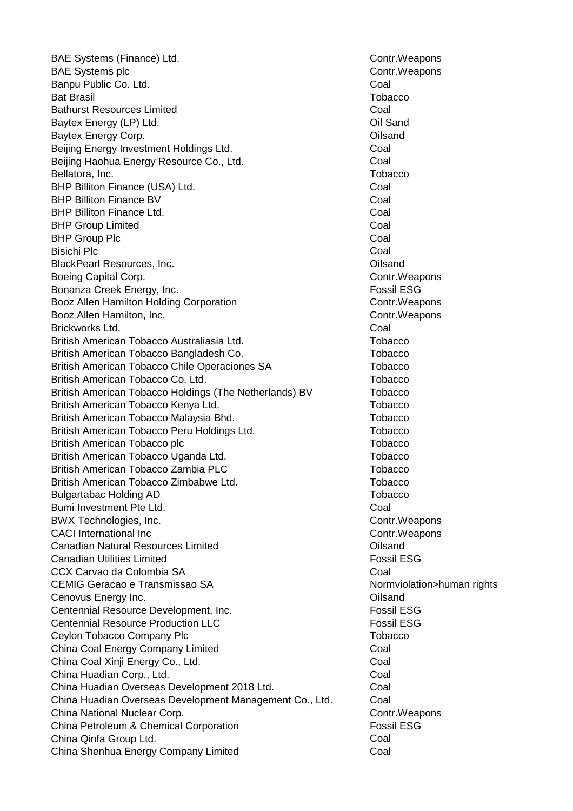BAE Systems (Finance) Ltd. Contract and Controller and Controller and Controller and Controller and Controller BAE Systems plc **Contract Contract Contract Contract Contract Contract Contract Contract Contract Contract Contract Contract Contract Contract Contract Contract Contract Contract Contract Contract Contract Contract Contrac** Banpu Public Co. Ltd. Coal Bat Brasil Tobacco Bathurst Resources Limited Coal Baytex Energy (LP) Ltd. Contract the Contract of Coll Sand Baytex Energy Corp. **Example 20** Section 20 and 20 Section 20 and 20 Section 20 and 20 Section 20 and 20 Section 20 and 20 Section 20 and 20 Section 20 and 20 Section 20 and 20 Section 20 and 20 Section 20 and 20 Section 2 Beijing Energy Investment Holdings Ltd. Coal Beijing Haohua Energy Resource Co., Ltd. Coal Bellatora, Inc. **Network** Contract Contract Contract Contract Contract Contract Contract Contract Contract Contract Contract Contract Contract Contract Contract Contract Contract Contract Contract Contract Contract Contrac BHP Billiton Finance (USA) Ltd. Coal BHP Billiton Finance BV Coal BHP Billiton Finance Ltd. Coal BHP Group Limited Coal BHP Group Plc **Coal** Bisichi Plc Coal BlackPearl Resources, Inc. Oilsand Boeing Capital Corp. Bonanza Creek Energy, Inc. The Contract of the Contract of Tossil ESG Booz Allen Hamilton Holding Corporation Contraction Contr. Weapons Booz Allen Hamilton, Inc. Contr.Weapons Brickworks Ltd. Coal British American Tobacco Australiasia Ltd. The Contract of Tobacco British American Tobacco Bangladesh Co. The Contract Contract Contract Contract Contract Contract Contract Contract Contract Contract Contract Contract Contract Contract Contract Contract Contract Contract Contract Contrac British American Tobacco Chile Operaciones SA Tobacco British American Tobacco Co. Ltd. The Contract Contract Contract Contract Contract Contract Contract Contract Co British American Tobacco Holdings (The Netherlands) BV Tobacco British American Tobacco Kenya Ltd. The Controller of the Tobacco British American Tobacco Malaysia Bhd. The Contract Contract Contract Contract Contract Contract Contract Contract Contract Contract Contract Contract Contract Contract Contract Contract Contract Contract Contract Contract British American Tobacco Peru Holdings Ltd. The Tobacco British American Tobacco plc Tobacco provide the Tobacco Tobacco British American Tobacco Uganda Ltd. The Contract of Tobacco British American Tobacco Zambia PLC Tobacco Tobacco British American Tobacco Zimbabwe Ltd. Tobacco Bulgartabac Holding AD Tobacco **The Contract AD** Tobacco Bumi Investment Pte Ltd. **Coal** BWX Technologies, Inc. Contract and the Control Contr.Weapons CACI International Inc **CACI International Inc CACI CONTRES** Canadian Natural Resources Limited Oilsand Canadian Utilities Limited Fossil ESG CCX Carvao da Colombia SA Coal CEMIG Geracao e Transmissao SA Normviolation>human rights Cenovus Energy Inc. Oilsand Centennial Resource Development, Inc. The Content of The Resource Development, Inc. Centennial Resource Production LLC Fossil ESG Ceylon Tobacco Company Plc Tobacco Company Plc Tobacco China Coal Energy Company Limited Coal China Coal Xinji Energy Co., Ltd. Coal Coal Coal China Huadian Corp., Ltd. Coal China Huadian Overseas Development 2018 Ltd. Coal China Huadian Overseas Development Management Co., Ltd. Coal China National Nuclear Corp. Contr.Weapons China Petroleum & Chemical Corporation **Fossil ESG** China Qinfa Group Ltd. Coal China Shenhua Energy Company Limited Coal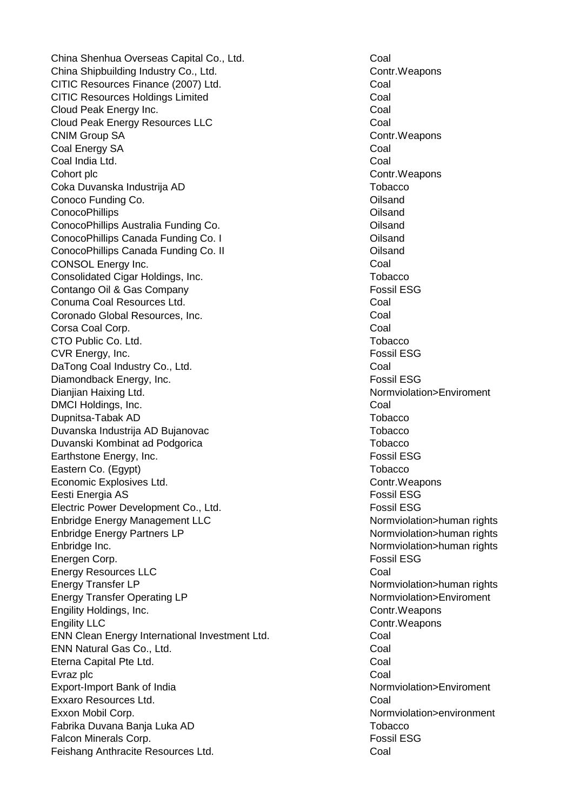China Shenhua Overseas Capital Co., Ltd. Coal China Shipbuilding Industry Co., Ltd. China Shipbuilding Industry Co., Ltd. Contr.Weapons CITIC Resources Finance (2007) Ltd. COAL Coal CITIC Resources Holdings Limited Coal Cloud Peak Energy Inc. **Coal** Cloud Peak Energy Resources LLC Coal CNIM Group SA Contr.Weapons Coal Energy SA Coal Coal India Ltd. Coal Cohort plc Contr.Weapons Coka Duvanska Industrija AD Tobacco Conoco Funding Co. **Oilsand** ConocoPhillips Oilsand ConocoPhillips Australia Funding Co. **ConocoPhillips Australia Funding Co. ConocoPhillips** Australia Funding Co. ConocoPhillips Canada Funding Co. I ConocoPhillips Canada Funding Co. I ConocoPhillips Canada Funding Co. II Oilsand CONSOL Energy Inc. **CONSOL** Energy Inc. Consolidated Cigar Holdings, Inc. The Consolidated Cigar Holdings, Inc. Contango Oil & Gas Company Fossil ESG Conuma Coal Resources Ltd. Coal **Coronado Global Resources, Inc.** Coal Corsa Coal Corp. Coal CTO Public Co. Ltd. The Contract of Contract of Contract of Contract of Contract of Contract of Contract of Co CVR Energy, Inc. **Fossil ESG** DaTong Coal Industry Co., Ltd. Coal Diamondback Energy, Inc. **Fossil ESG EXALL** Dianjian Haixing Ltd. Normviolation>Enviroment DMCI Holdings, Inc. **Coal** Dupnitsa-Tabak AD Tobacco Duvanska Industrija AD Bujanovac Tobacco Duvanski Kombinat ad Podgorica Theorem Tobacco Earthstone Energy, Inc. **Fossil ESG** Eastern Co. (Egypt) Tobacco Economic Explosives Ltd. **Contract Explosives Ltd.** Contr.Weapons Eesti Energia AS Fossil ESG Electric Power Development Co., Ltd. **Example 20** Fossil ESG Enbridge Energy Management LLC Normviolation>human rights Enbridge Energy Partners LP Normviolation>human rights Enbridge Inc. **Note a set all a set all a set all a set all a set all a set all a set all a set all a set all a set all a set all a set all a set all a set all a set all a set all a set all a set all a set all a set all a** Energen Corp. The Corp. The Corp. The Corp. The Corp. The Corp. The Corp. The Corp. The Corp. The Corp. The Corp. The Corp. The Corp. The Corp. The Corp. The Corp. The Corp. The Corp. The Corp. The Corp. The Corp. The Corp Energy Resources LLC **Communication** Coal Energy Transfer LP Normviolation>human rights Energy Transfer Operating LP Normviolation>Enviroment Engility Holdings, Inc. Contr.Weapons Engility LLC **Contract Contract Contract Contract Contract Contract Contract Contract Contract Control Control Contract Contract Contract Contract Contract Contract Contract Contract Contract Contract Contract Contract Con** ENN Clean Energy International Investment Ltd. Coal ENN Natural Gas Co., Ltd. Coal Eterna Capital Pte Ltd. **Coal** Evraz plc **Coal** Export-Import Bank of India Normviolation>Enviroment Exxaro Resources Ltd. Coal Exxon Mobil Corp. Normviolation>environment Fabrika Duvana Banja Luka AD Tobacco na matsayar ta tanar 1992. Tobacco Falcon Minerals Corp. **Fossil ESG** Feishang Anthracite Resources Ltd. Coal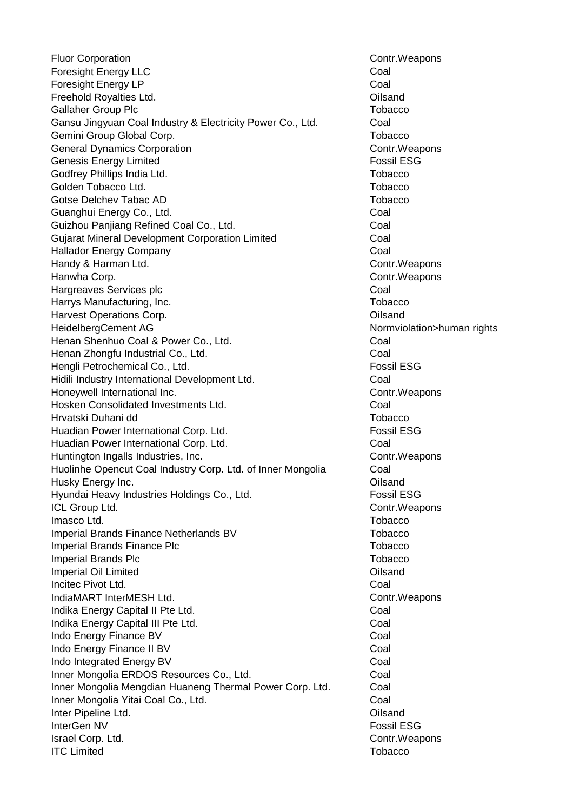Fluor Corporation **Contract Control** Control Control Control Control Control Control Control Control Control Control Control Control Control Control Control Control Control Control Control Control Control Control Control C Foresight Energy LLC **Coal** Foresight Energy LP Coal Freehold Royalties Ltd. Oilsand Gallaher Group Plc **Tobacco** Callaher Group Plc Gansu Jingyuan Coal Industry & Electricity Power Co., Ltd. Coal Gemini Group Global Corp. The Contract of the Corp. Tobacco General Dynamics Corporation Controller Controller Controller Controller Controller Controller Controller Controller Genesis Energy Limited Fossil ESG Godfrey Phillips India Ltd. The Contract of the Contract of Tobacco Golden Tobacco Ltd. The Contract of the Contract of Tobacco Tobacco Tobacco Gotse Delchev Tabac AD Tobacco Control of Tabacco Tobacco Guanghui Energy Co., Ltd. **Coal** Guizhou Panjiang Refined Coal Co., Ltd. Coal Co., Coal Gujarat Mineral Development Corporation Limited Coal Hallador Energy Company Coal Handy & Harman Ltd. **Contract Controllers** Contr.Weapons Hanwha Corp. **Contract Contract Contract Contract Contract Contract Contract Contract Contract Control Control Control Control Control Control Control Control Control Control Control Control Control Control Control Control** Hargreaves Services plc **Coal** Harrys Manufacturing, Inc. The Contraction of the Contractor of Tobacco Harvest Operations Corp. **Community** Contact Contact Contact Contact Contact Contact Contact Contact Contact Contact Contact Contact Contact Contact Contact Contact Contact Contact Contact Contact Contact Contact Contact C HeidelbergCement AG Normviolation>human rights Henan Shenhuo Coal & Power Co., Ltd. Coal Henan Zhongfu Industrial Co., Ltd. Coal Hengli Petrochemical Co., Ltd. **Fossil ESG** Hidili Industry International Development Ltd. Coal Honeywell International Inc. **Example 20 and Series 20 and Series 20 and Series 20 and Series 20 and Series 20 and Series 20 and Series 20 and Series 20 and Series 20 and Series 20 and Series 20 and Series 20 and Series 20** Hosken Consolidated Investments Ltd. Coal Hrvatski Duhani dd Tobacco Huadian Power International Corp. Ltd. **Fossil ESG** Huadian Power International Corp. Ltd. Coal Huntington Ingalls Industries, Inc. Contr.Weapons Huolinhe Opencut Coal Industry Corp. Ltd. of Inner Mongolia Coal Husky Energy Inc. Oilsand Hyundai Heavy Industries Holdings Co., Ltd. **Fossil ESG** ICL Group Ltd. Contr.Weapons Imasco Ltd. Tobacco Imperial Brands Finance Netherlands BV Tobacco Imperial Brands Finance Plc Tobacco Tobacco Imperial Brands Plc Tobacco **The Contract of Tobacco** Tobacco Imperial Oil Limited **Oilsand** Incitec Pivot Ltd. Coal IndiaMART InterMESH Ltd. example and the controller of the Contr.Weapons Indika Energy Capital II Pte Ltd. **Coal** Indika Energy Capital III Pte Ltd. **Coal** Indo Energy Finance BV Coal Indo Energy Finance II BV Coal Indo Integrated Energy BV Coal Inner Mongolia ERDOS Resources Co., Ltd. Coal Inner Mongolia Mengdian Huaneng Thermal Power Corp. Ltd. Coal Inner Mongolia Yitai Coal Co., Ltd. Coal Co., Coal Inter Pipeline Ltd. Oilsand InterGen NV Fossil ESG **Israel Corp. Ltd.** Contr.Weapons **ITC Limited** Tobacco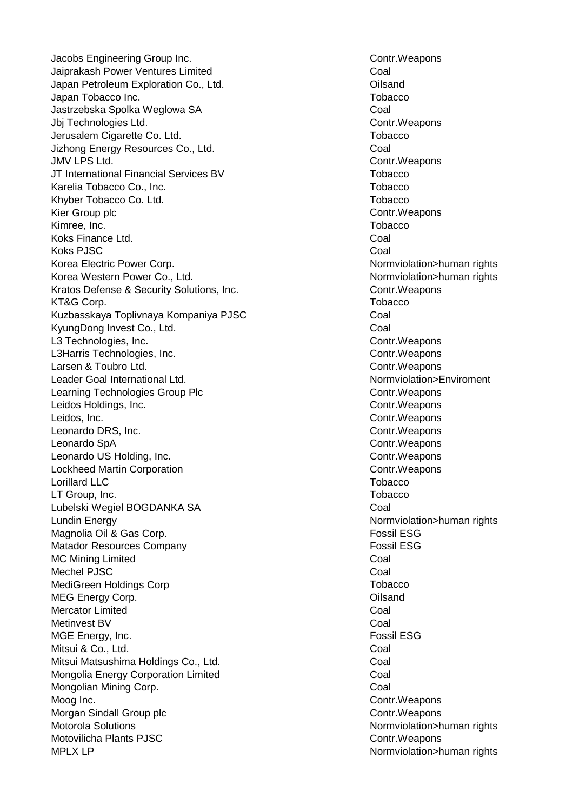Jacobs Engineering Group Inc. The Control of Control Control Control Control Control Control Control Control Control Control Control Control Control Control Control Control Control Control Control Control Control Control C Jaiprakash Power Ventures Limited Coal Japan Petroleum Exploration Co., Ltd. Oilsand Japan Tobacco Inc. New York 1999, New York 1999, New York 1999, New York 1999, New York 1999, New York 1999, N Jastrzebska Spolka Weglowa SA Coal Jbj Technologies Ltd. **Contract Contract Contract Contract Contract Contract Contract Contract Contract Control** Jerusalem Cigarette Co. Ltd. Tobacco Jizhong Energy Resources Co., Ltd. Coal JMV LPS Ltd. Contr.Weapons JT International Financial Services BV Tobacco Karelia Tobacco Co., Inc. The Contract of Contract of Tobacco Tobacco Khyber Tobacco Co. Ltd. The Contract Contract Contract Contract Contract Contract Contract Contract Contract Co Kier Group plc **Contract Controllers** Contract Contract Contract Contract Contract Contract Contract Contract Contract Contract Contract Contract Contract Contract Contract Contract Contract Contract Contract Contract Cont Kimree, Inc. The Contract of the Contract of the Contract of Tobacco Tobacco Koks Finance Ltd. Coal **Koks PJSC** Coal Korea Electric Power Corp. Normviolation>human rights Korea Western Power Co., Ltd. Normviolation>human rights Kratos Defense & Security Solutions, Inc. The Contress of Contr.Weapons KT&G Corp. Tobacco Kuzbasskaya Toplivnaya Kompaniya PJSC Coal KyungDong Invest Co., Ltd. Coal L3 Technologies, Inc. **Contract Contract Contract Contract Contract Contract Contract Contract Contract Control** L3Harris Technologies, Inc. Contract and Contr.Weapons Larsen & Toubro Ltd. Contr.Weapons Leader Goal International Ltd. Normviolation>Enviroment Learning Technologies Group Plc Contr.Weapons Leidos Holdings, Inc. Contr.Weapons Leidos, Inc. **Contract Contract Contract Contract Contr** Contr.Weapons Leonardo DRS, Inc. **Contract Contract Contract Contract Contract Contract Contract Contract Contract Control** Leonardo SpA Contr.Weapons Leonardo US Holding, Inc. **Contract Control** Contr.Weapons Lockheed Martin Corporation Contraction Control Contr. Weapons Lorillard LLC Tobacco LT Group, Inc. **The Contract of Contract Contract Contract Contract Contract Contract Contract Contract Contract Contract Contract Contract Contract Contract Contract Contract Contract Contract Contract Contract Contract C** Lubelski Wegiel BOGDANKA SA Coal Lundin Energy Normviolation>human rights Magnolia Oil & Gas Corp. The Contract of the Contract of Testam Possil ESG Matador Resources Company Fossil ESG MC Mining Limited **Coal** Mechel PJSC Coal MediGreen Holdings Corp Tobacco MEG Energy Corp. **Oilsand MEG Energy Corp. Oilsand** Mercator Limited **Coal** Metinvest BV Coal MGE Energy, Inc. **Fossil ESG** Mitsui & Co., Ltd. Coal Mitsui Matsushima Holdings Co., Ltd. Coal Mongolia Energy Corporation Limited Coal Mongolian Mining Corp. **Coal** Moog Inc. **Contract Control** Control Control Control Control Control Control Control Control Control Control Control Control Control Control Control Control Control Control Control Control Control Control Control Control C Morgan Sindall Group plc Contract Control Control Control Control Control Control Control Control Control Control Control Control Control Control Control Control Control Control Control Control Control Control Control Cont Motorola Solutions Normviolation>human rights Motovilicha Plants PJSC **Contract Controller Controller** Contr.Weapons MPLX LP Normviolation>human rights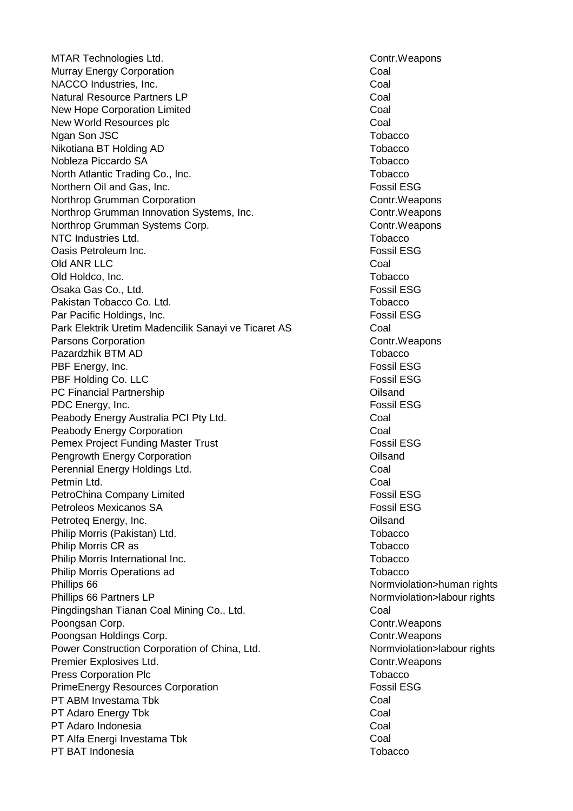MTAR Technologies Ltd. Contract and the control of the Control Control Control of the control of the control of the control of the control of the control of the control of the control of the control of the control of the c Murray Energy Corporation **Coal** NACCO Industries, Inc. **Coal** Natural Resource Partners LP Coal New Hope Corporation Limited Coal New World Resources plc **Coal** Ngan Son JSC **Tobacco** Tobacco **Tobacco** Tobacco **Tobacco** Tobacco Nikotiana BT Holding AD Tobacco Nobleza Piccardo SA Tobacco North Atlantic Trading Co., Inc. The Contract of the Contract of Tobacco Northern Oil and Gas, Inc. The Contract of the Contract of Testa ESG Fossil ESG Northrop Grumman Corporation Control Control Contr.Weapons Northrop Grumman Innovation Systems, Inc. The Contr.Weapons Contr.Weapons Northrop Grumman Systems Corp. Contract and Contr.Weapons NTC Industries Ltd. The Contract of the Contract of Tobacco Tobacco Oasis Petroleum Inc. Fossil ESG Old ANR LLC Coal Old Holdco, Inc. Tobacco Osaka Gas Co., Ltd. Fossil ESG Pakistan Tobacco Co. Ltd. The Contract of the Contract of Tobacco Tobacco Par Pacific Holdings, Inc. **Fossil ESG** Park Elektrik Uretim Madencilik Sanayi ve Ticaret AS Coal **Parsons Corporation** Controller Controller Controller Controller Controller Controller Controller Controller Controller Controller Controller Controller Controller Controller Controller Controller Controller Controller Co Pazardzhik BTM AD Tobacco in the control of the control of the control of the control of the control of the control of the control of the control of the control of the control of the control of the control of the control o PBF Energy, Inc. **Fossil ESG** PBF Holding Co. LLC Fossil ESG PC Financial Partnership **Containers** Containership **Oilsand** PDC Energy, Inc. **Fossil ESG** Peabody Energy Australia PCI Pty Ltd. **Example 20 and Coal Peabody Energy Corporation** Coal Pemex Project Funding Master Trust Fossil ESG Pengrowth Energy Corporation **Construction** Construction **Construction** Oilsand Perennial Energy Holdings Ltd. **Coal** Petmin Ltd. Coal PetroChina Company Limited **Fossil ESG** Fossil ESG Petroleos Mexicanos SA Fossil ESG Petroteg Energy, Inc. **Districts Petroteg Energy, Inc. C** Philip Morris (Pakistan) Ltd. The Contract of the Contract of Tobacco Philip Morris CR as The Contract of the Contract of Tobacco Tobacco Philip Morris International Inc. The Contract of the Contract of Tobacco Philip Morris Operations ad Tobacco Phillips 66 Normviolation>human rights Phillips 66 Partners LP Normviolation>labour rights Pingdingshan Tianan Coal Mining Co., Ltd. **Coal** Poongsan Corp. **Contract Contract Contract Contract Contract Contract Contract Contract Contract Contract Control Contract Contract Contract Contract Contract Contract Contract Contract Contract Contract Contract Contract** Poongsan Holdings Corp. Contract and Contract Contract Control Control Control Control Control Control Control Control Control Control Control Control Control Control Control Control Control Control Control Control Control Power Construction Corporation of China, Ltd. Normviolation>labour rights Premier Explosives Ltd. Contr.Weapons Press Corporation Plc The Tobacco Corporation Plc Tobacco Corporation Plc Tobacco PrimeEnergy Resources Corporation Fossil ESG PT ABM Investama Tbk Coal PT Adaro Energy Tbk Coal PT Adaro Indonesia Coal PT Alfa Energi Investama Tbk Coal PT BAT Indonesia **The Contract of the Contract of Contract of Tobacco** Tobacco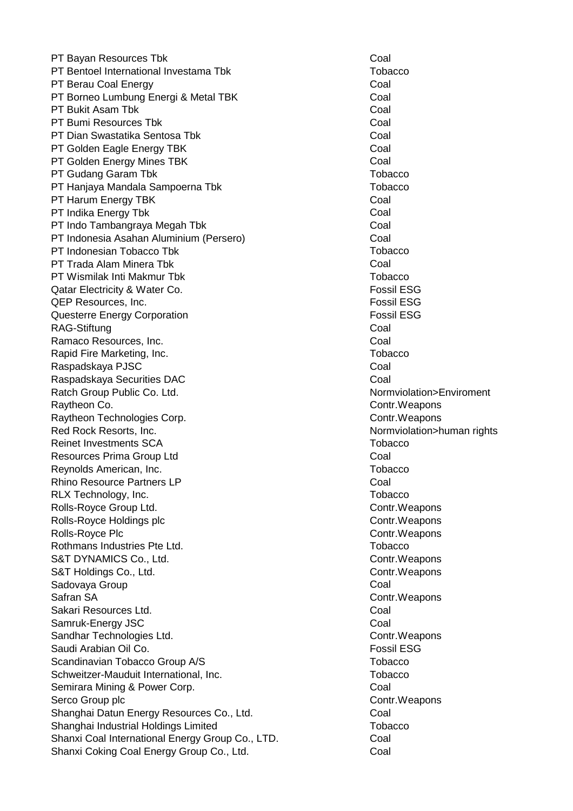PT Bayan Resources Tbk Coal PT Bentoel International Investama Tbk Tobacco PT Berau Coal Energy Coal PT Borneo Lumbung Energi & Metal TBK Coal PT Bukit Asam Tbk Coal PT Bumi Resources Tbk Coal PT Dian Swastatika Sentosa Tbk Coal PT Golden Eagle Energy TBK Coal PT Golden Energy Mines TBK Coal PT Gudang Garam Tbk Tobacco The Tobacco Tobacco Tobacco Tobacco Tobacco Tobacco PT Hanjaya Mandala Sampoerna Tbk Tobacco PT Harum Energy TBK Coal PT Indika Energy Tbk **Coal** PT Indo Tambangraya Megah Tbk Coal PT Indonesia Asahan Aluminium (Persero) Coal PT Indonesian Tobacco Tbk The Tobacco The Tobacco The Tobacco PT Trada Alam Minera Tbk Coal PT Wismilak Inti Makmur Tbk Tobacco Qatar Electricity & Water Co. Fossil ESG QEP Resources, Inc. **Fossil ESG Fossil ESG** Questerre Energy Corporation **Fossil ESG** RAG-Stiftung **Coal** Ramaco Resources, Inc. **Coal** Rapid Fire Marketing, Inc. The Contract of the Contract of Tobacco Raspadskaya PJSC **Coal** Raspadskaya Securities DAC **Coal** Coal Ratch Group Public Co. Ltd. Normviolation>Enviroment Raytheon Co. Contr.Weapons Raytheon Technologies Corp. Contract and Contr.Weapons Red Rock Resorts, Inc. Normviolation>human rights Reinet Investments SCA Tobacco Tobacco Resources Prima Group Ltd **Coal** Reynolds American, Inc. **The Executive Contract Contract Contract Contract Contract Contract Contract Contract Contract Contract Contract Contract Contract Contract Contract Contract Contract Contract Contract Contract Con** Rhino Resource Partners LP Coal RLX Technology, Inc. The contract of the contract of the contract of the contract of the contract of the contract of the contract of the contract of the contract of the contract of the contract of the contract of the contr Rolls-Royce Group Ltd. **Contract Contract Contract Contract Contract Contract Contract Contract Contract Control** Rolls-Royce Holdings plc Control Control Control Control Control Control Control Control Control Control Control Control Control Control Control Control Control Control Control Control Control Control Control Control Contr Rolls-Royce Plc **Contract Contract Contract Contract Contr** Contr.Weapons Rothmans Industries Pte Ltd. The Contract of the Contract of Tobacco S&T DYNAMICS Co., Ltd. Contract Contract Control Control Control Control Control Control Control Control Control Control Control Control Control Control Control Control Control Control Control Control Control Control Contr S&T Holdings Co., Ltd. Contr.Weapons Sadovaya Group Coal Safran SA Contr.Weapons Sakari Resources Ltd. **Coal** Samruk-Energy JSC Coal Sandhar Technologies Ltd. Contr.Weapons Saudi Arabian Oil Co. Fossil ESG Scandinavian Tobacco Group A/S Tobacco Tobacco Schweitzer-Mauduit International, Inc. The Controller of the Tobacco Semirara Mining & Power Corp. The Coal Coal Serco Group plc **Contract Control** Control Control Control Control Control Control Control Control Control Control Control Control Control Control Control Control Control Control Control Control Control Control Control Con Shanghai Datun Energy Resources Co., Ltd. Coal Shanghai Industrial Holdings Limited Tobacco Shanxi Coal International Energy Group Co., LTD. Coal Shanxi Coking Coal Energy Group Co., Ltd. **Coal** Coal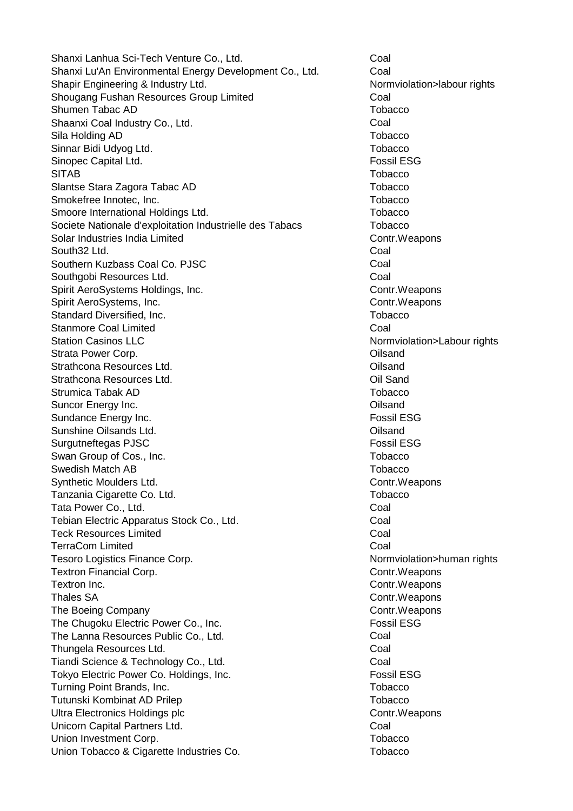Shanxi Lanhua Sci-Tech Venture Co., Ltd. Coal Shanxi Lu'An Environmental Energy Development Co., Ltd. Coal Shapir Engineering & Industry Ltd. Normviolation>labour rights Shougang Fushan Resources Group Limited Coal Shumen Tabac AD Tobacco and Tobacco and Tobacco and Tobacco and Tobacco and Tobacco Tobacco Shaanxi Coal Industry Co., Ltd. Coal Sila Holding AD Tobacco and the Sila Holding AD Tobacco and the Sila Holding AD Tobacco Sinnar Bidi Udyog Ltd. The Contract of the Contract of Tobacco Sinopec Capital Ltd. **Fossil ESG** SITAB Tobacco Slantse Stara Zagora Tabac AD Tobacco Smokefree Innotec, Inc. The Contract of the Contract of Tobacco Tobacco Smoore International Holdings Ltd. The Control of the Tobacco Societe Nationale d'exploitation Industrielle des Tabacs Tobacco Solar Industries India Limited Contr. Weapons South32 Ltd. Coal Southern Kuzbass Coal Co. PJSC Communication Coal Southgobi Resources Ltd. **Coal** Spirit AeroSystems Holdings, Inc. Contract and Contr.Weapons Spirit AeroSystems, Inc. Contr.Weapons Standard Diversified, Inc. The contract of the contract of the contract of the contract of the contract of the contract of the contract of the contract of the contract of the contract of the contract of the contract of the Stanmore Coal Limited Coal Station Casinos LLC **No. 2018** Station Casinos LLC Strata Power Corp. **Oilsand** Strata Power Corp. Strathcona Resources Ltd. Oilsand Strathcona Resources Ltd. **Communist Communist Communist Communist Communist Communist Communist Communist Communist Communist Communist Communist Communist Communist Communist Communist Communist Communist Communist Commu** Strumica Tabak AD Tobacco Controller and the Controller of the Tobacco Tobacco Suncor Energy Inc. **Contract Contract Contract Contract Contract Contract Contract Contract Contract Contract Contract Contract Contract Contract Contract Contract Contract Contract Contract Contract Contract Contract Cont** Sundance Energy Inc. **Fossil ESG** Sunshine Oilsands Ltd. Oilsand Surgutneftegas PJSC **Fossil ESG** Swan Group of Cos., Inc. The Cost of Cos. Tobacco Cost of Cos. Tobacco Swedish Match AB Tobacco Synthetic Moulders Ltd. Contract and Contract Control Control Control Control Control Control Control Control Control Control Control Control Control Control Control Control Control Control Control Control Control Control Tanzania Cigarette Co. Ltd. Tanzania Cigarette Co. Ltd. Tata Power Co., Ltd. **Coal** Tebian Electric Apparatus Stock Co., Ltd. Coal Teck Resources Limited **Coal TerraCom Limited Coal** Tesoro Logistics Finance Corp. Normviolation>human rights Textron Financial Corp. **Contract Contract Contract Contract Contract Contract Contract Contract Contract Control** Textron Inc. **Contract Control** Contr.Weapons Thales SA Contr.Weapons The Boeing Company Contract Contract Control Control Control Control Control Control Control Control Control Control Control Control Control Control Control Control Control Control Control Control Control Control Control C The Chugoku Electric Power Co., Inc. **Fossil ESG** The Lanna Resources Public Co., Ltd. Coal Thungela Resources Ltd. **Coal** Tiandi Science & Technology Co., Ltd. Coal Tokyo Electric Power Co. Holdings, Inc. The Contract of The Result ESG Turning Point Brands, Inc. Turning Point Brands, Inc. Tutunski Kombinat AD Prilep Tobacco **The Combinat AD Prilep Tobacco** Tobacco Ultra Electronics Holdings plc Contr.Weapons Unicorn Capital Partners Ltd. **Coal** Union Investment Corp. **The Community Contract Contract Contract Contract Contract Contract Contract Contract Contract Contract Contract Contract Contract Contract Contract Contract Contract Contract Contract Contract Cont** Union Tobacco & Cigarette Industries Co. The Contract of Tobacco